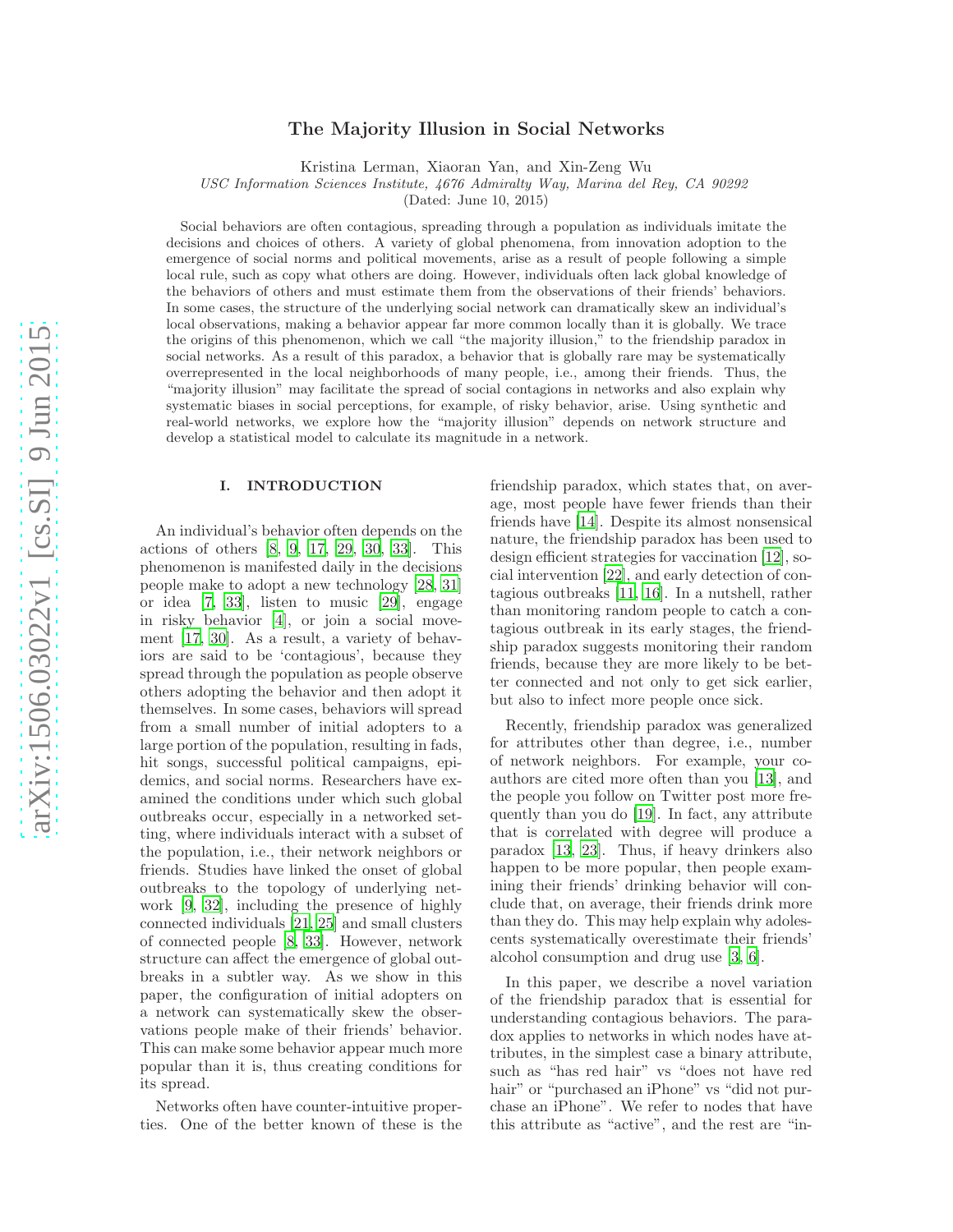# arXiv:1506.03022v1 [cs.SI] 9 Jun 2015 [arXiv:1506.03022v1 \[cs.SI\] 9 Jun 2015](http://arxiv.org/abs/1506.03022v1)

# The Majority Illusion in Social Networks

Kristina Lerman, Xiaoran Yan, and Xin-Zeng Wu

USC Information Sciences Institute, 4676 Admiralty Way, Marina del Rey, CA 90292

(Dated: June 10, 2015)

Social behaviors are often contagious, spreading through a population as individuals imitate the decisions and choices of others. A variety of global phenomena, from innovation adoption to the emergence of social norms and political movements, arise as a result of people following a simple local rule, such as copy what others are doing. However, individuals often lack global knowledge of the behaviors of others and must estimate them from the observations of their friends' behaviors. In some cases, the structure of the underlying social network can dramatically skew an individual's local observations, making a behavior appear far more common locally than it is globally. We trace the origins of this phenomenon, which we call "the majority illusion," to the friendship paradox in social networks. As a result of this paradox, a behavior that is globally rare may be systematically overrepresented in the local neighborhoods of many people, i.e., among their friends. Thus, the "majority illusion" may facilitate the spread of social contagions in networks and also explain why systematic biases in social perceptions, for example, of risky behavior, arise. Using synthetic and real-world networks, we explore how the "majority illusion" depends on network structure and develop a statistical model to calculate its magnitude in a network.

# I. INTRODUCTION

An individual's behavior often depends on the actions of others [\[8](#page-6-0), [9](#page-6-1), [17,](#page-6-2) [29,](#page-7-0) [30,](#page-7-1) [33](#page-7-2)]. This phenomenon is manifested daily in the decisions people make to adopt a new technology [\[28](#page-7-3), [31](#page-7-4)] or idea [\[7,](#page-6-3) [33](#page-7-2)], listen to music [\[29](#page-7-0)], engage in risky behavior [\[4\]](#page-6-4), or join a social movement [\[17,](#page-6-2) [30](#page-7-1)]. As a result, a variety of behaviors are said to be 'contagious', because they spread through the population as people observe others adopting the behavior and then adopt it themselves. In some cases, behaviors will spread from a small number of initial adopters to a large portion of the population, resulting in fads, hit songs, successful political campaigns, epidemics, and social norms. Researchers have examined the conditions under which such global outbreaks occur, especially in a networked setting, where individuals interact with a subset of the population, i.e., their network neighbors or friends. Studies have linked the onset of global outbreaks to the topology of underlying network [\[9,](#page-6-1) [32](#page-7-5)], including the presence of highly connected individuals [\[21,](#page-7-6) [25](#page-7-7)] and small clusters of connected people [\[8](#page-6-0), [33](#page-7-2)]. However, network structure can affect the emergence of global outbreaks in a subtler way. As we show in this paper, the configuration of initial adopters on a network can systematically skew the observations people make of their friends' behavior. This can make some behavior appear much more popular than it is, thus creating conditions for its spread.

Networks often have counter-intuitive properties. One of the better known of these is the friendship paradox, which states that, on average, most people have fewer friends than their friends have [\[14\]](#page-6-5). Despite its almost nonsensical nature, the friendship paradox has been used to design efficient strategies for vaccination [\[12\]](#page-6-6), social intervention [\[22\]](#page-7-8), and early detection of contagious outbreaks [\[11,](#page-6-7) [16](#page-6-8)]. In a nutshell, rather than monitoring random people to catch a contagious outbreak in its early stages, the friendship paradox suggests monitoring their random friends, because they are more likely to be better connected and not only to get sick earlier, but also to infect more people once sick.

Recently, friendship paradox was generalized for attributes other than degree, i.e., number of network neighbors. For example, your coauthors are cited more often than you [\[13](#page-6-9)], and the people you follow on Twitter post more frequently than you do [\[19\]](#page-7-9). In fact, any attribute that is correlated with degree will produce a paradox [\[13,](#page-6-9) [23\]](#page-7-10). Thus, if heavy drinkers also happen to be more popular, then people examining their friends' drinking behavior will conclude that, on average, their friends drink more than they do. This may help explain why adolescents systematically overestimate their friends' alcohol consumption and drug use [\[3](#page-6-10), [6](#page-6-11)].

In this paper, we describe a novel variation of the friendship paradox that is essential for understanding contagious behaviors. The paradox applies to networks in which nodes have attributes, in the simplest case a binary attribute, such as "has red hair" vs "does not have red hair" or "purchased an iPhone" vs "did not purchase an iPhone". We refer to nodes that have this attribute as "active", and the rest are "in-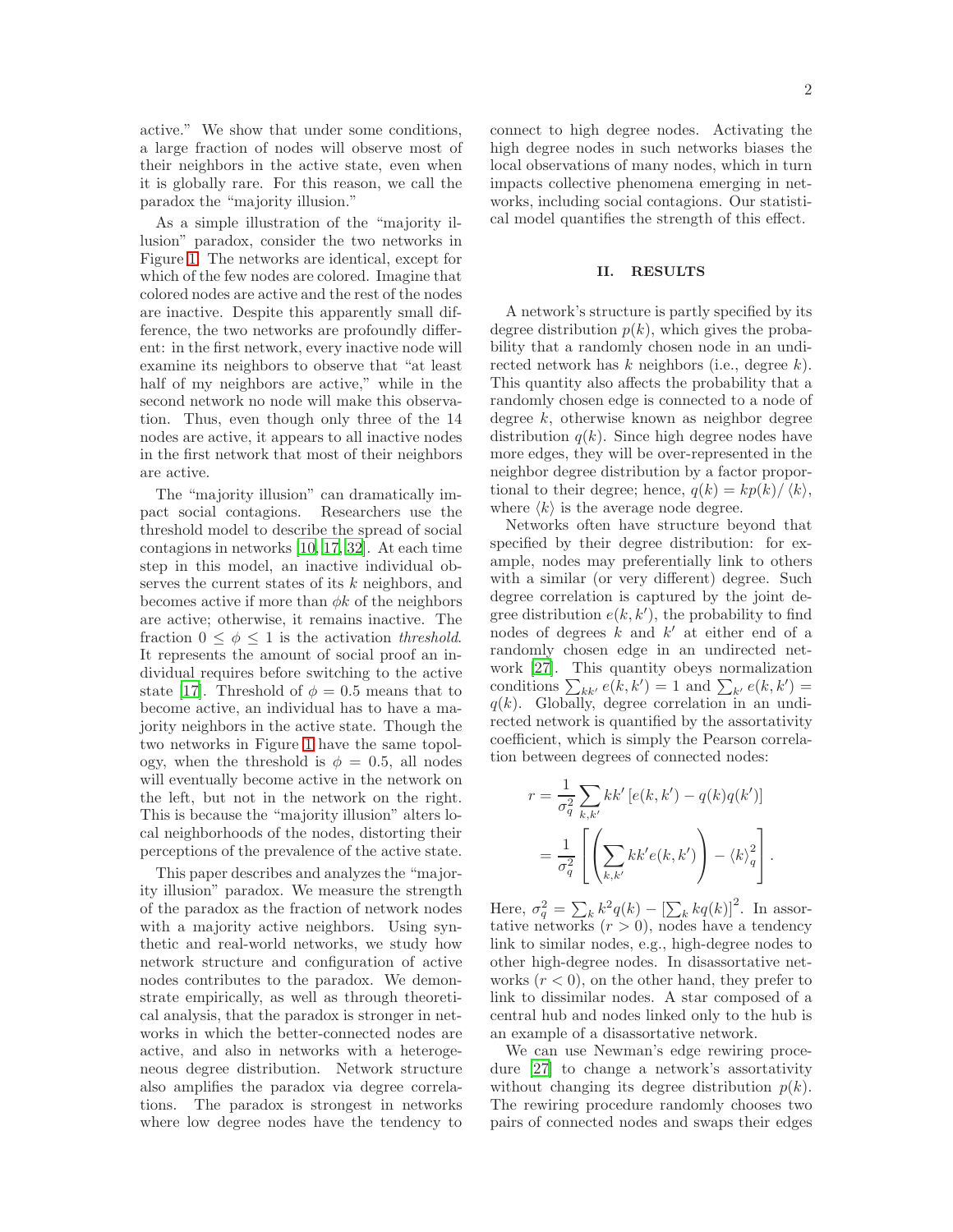active." We show that under some conditions, a large fraction of nodes will observe most of their neighbors in the active state, even when it is globally rare. For this reason, we call the paradox the "majority illusion."

As a simple illustration of the "majority illusion" paradox, consider the two networks in Figure [1.](#page-9-0) The networks are identical, except for which of the few nodes are colored. Imagine that colored nodes are active and the rest of the nodes are inactive. Despite this apparently small difference, the two networks are profoundly different: in the first network, every inactive node will examine its neighbors to observe that "at least half of my neighbors are active," while in the second network no node will make this observation. Thus, even though only three of the 14 nodes are active, it appears to all inactive nodes in the first network that most of their neighbors are active.

The "majority illusion" can dramatically impact social contagions. Researchers use the threshold model to describe the spread of social contagions in networks [\[10,](#page-6-12) [17,](#page-6-2) [32\]](#page-7-5). At each time step in this model, an inactive individual observes the current states of its k neighbors, and becomes active if more than  $\phi k$  of the neighbors are active; otherwise, it remains inactive. The fraction  $0 \leq \phi \leq 1$  is the activation threshold. It represents the amount of social proof an individual requires before switching to the active state [\[17\]](#page-6-2). Threshold of  $\phi = 0.5$  means that to become active, an individual has to have a majority neighbors in the active state. Though the two networks in Figure [1](#page-9-0) have the same topology, when the threshold is  $\phi = 0.5$ , all nodes will eventually become active in the network on the left, but not in the network on the right. This is because the "majority illusion" alters local neighborhoods of the nodes, distorting their perceptions of the prevalence of the active state.

This paper describes and analyzes the "majority illusion" paradox. We measure the strength of the paradox as the fraction of network nodes with a majority active neighbors. Using synthetic and real-world networks, we study how network structure and configuration of active nodes contributes to the paradox. We demonstrate empirically, as well as through theoretical analysis, that the paradox is stronger in networks in which the better-connected nodes are active, and also in networks with a heterogeneous degree distribution. Network structure also amplifies the paradox via degree correlations. The paradox is strongest in networks where low degree nodes have the tendency to connect to high degree nodes. Activating the high degree nodes in such networks biases the local observations of many nodes, which in turn impacts collective phenomena emerging in networks, including social contagions. Our statistical model quantifies the strength of this effect.

# II. RESULTS

A network's structure is partly specified by its degree distribution  $p(k)$ , which gives the probability that a randomly chosen node in an undirected network has  $k$  neighbors (i.e., degree  $k$ ). This quantity also affects the probability that a randomly chosen edge is connected to a node of degree k, otherwise known as neighbor degree distribution  $q(k)$ . Since high degree nodes have more edges, they will be over-represented in the neighbor degree distribution by a factor proportional to their degree; hence,  $q(k) = kp(k)/\langle k \rangle$ , where  $\langle k \rangle$  is the average node degree.

Networks often have structure beyond that specified by their degree distribution: for example, nodes may preferentially link to others with a similar (or very different) degree. Such degree correlation is captured by the joint degree distribution  $e(k, k')$ , the probability to find nodes of degrees  $k$  and  $k'$  at either end of a randomly chosen edge in an undirected network [\[27\]](#page-7-11). This quantity obeys normalization conditions  $\sum_{kk'} e(k, k') = 1$  and  $\sum_{k'} e(k, k') =$  $q(k)$ . Globally, degree correlation in an undirected network is quantified by the assortativity coefficient, which is simply the Pearson correlation between degrees of connected nodes:

$$
r = \frac{1}{\sigma_q^2} \sum_{k,k'} k k' \left[ e(k, k') - q(k) q(k') \right]
$$
  
= 
$$
\frac{1}{\sigma_q^2} \left[ \left( \sum_{k,k'} k k' e(k, k') \right) - \langle k \rangle_q^2 \right].
$$

Here,  $\sigma_q^2 = \sum_k k^2 q(k) - [\sum_k kq(k)]^2$ . In assortative networks  $(r > 0)$ , nodes have a tendency link to similar nodes, e.g., high-degree nodes to other high-degree nodes. In disassortative networks  $(r < 0)$ , on the other hand, they prefer to link to dissimilar nodes. A star composed of a central hub and nodes linked only to the hub is an example of a disassortative network.

We can use Newman's edge rewiring procedure [\[27\]](#page-7-11) to change a network's assortativity without changing its degree distribution  $p(k)$ . The rewiring procedure randomly chooses two pairs of connected nodes and swaps their edges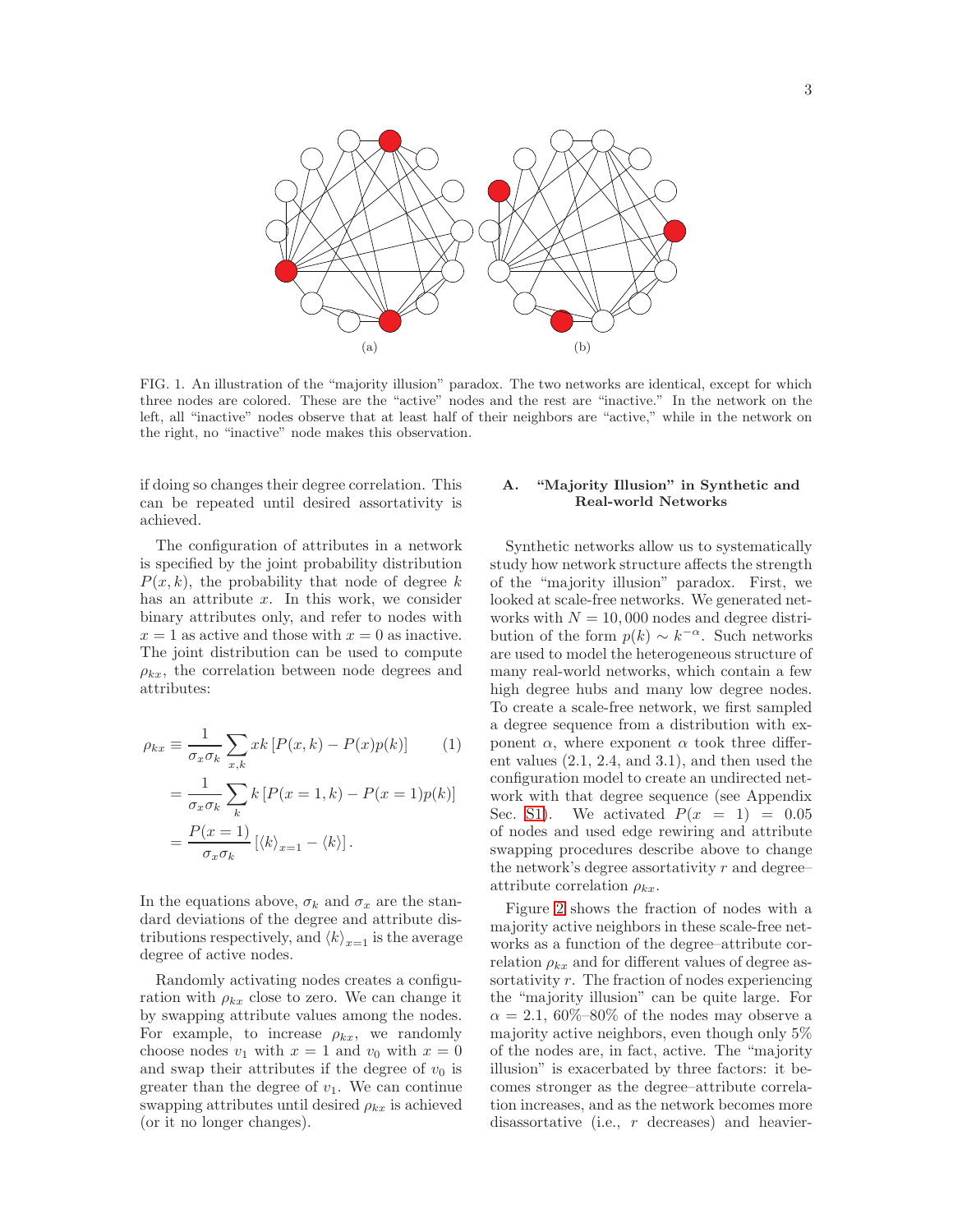

FIG. 1. An illustration of the "majority illusion" paradox. The two networks are identical, except for which three nodes are colored. These are the "active" nodes and the rest are "inactive." In the network on the left, all "inactive" nodes observe that at least half of their neighbors are "active," while in the network on the right, no "inactive" node makes this observation.

if doing so changes their degree correlation. This can be repeated until desired assortativity is achieved.

The configuration of attributes in a network is specified by the joint probability distribution  $P(x, k)$ , the probability that node of degree k has an attribute  $x$ . In this work, we consider binary attributes only, and refer to nodes with  $x = 1$  as active and those with  $x = 0$  as inactive. The joint distribution can be used to compute  $\rho_{kx}$ , the correlation between node degrees and attributes:

<span id="page-2-0"></span>
$$
\rho_{kx} \equiv \frac{1}{\sigma_x \sigma_k} \sum_{x,k} xk \left[ P(x,k) - P(x)p(k) \right] \qquad (1)
$$

$$
= \frac{1}{\sigma_x \sigma_k} \sum_k k \left[ P(x=1,k) - P(x=1)p(k) \right]
$$

$$
= \frac{P(x=1)}{\sigma_x \sigma_k} \left[ \langle k \rangle_{x=1} - \langle k \rangle \right].
$$

In the equations above,  $\sigma_k$  and  $\sigma_x$  are the standard deviations of the degree and attribute distributions respectively, and  $\langle k \rangle_{x=1}$  is the average degree of active nodes.

Randomly activating nodes creates a configuration with  $\rho_{kx}$  close to zero. We can change it by swapping attribute values among the nodes. For example, to increase  $\rho_{kx}$ , we randomly choose nodes  $v_1$  with  $x = 1$  and  $v_0$  with  $x = 0$ and swap their attributes if the degree of  $v_0$  is greater than the degree of  $v_1$ . We can continue swapping attributes until desired  $\rho_{kx}$  is achieved (or it no longer changes).

# A. "Majority Illusion" in Synthetic and Real-world Networks

Synthetic networks allow us to systematically study how network structure affects the strength of the "majority illusion" paradox. First, we looked at scale-free networks. We generated networks with  $N = 10,000$  nodes and degree distribution of the form  $p(k) \sim k^{-\alpha}$ . Such networks are used to model the heterogeneous structure of many real-world networks, which contain a few high degree hubs and many low degree nodes. To create a scale-free network, we first sampled a degree sequence from a distribution with exponent  $\alpha$ , where exponent  $\alpha$  took three different values (2.1, 2.4, and 3.1), and then used the configuration model to create an undirected network with that degree sequence (see Appendix Sec. [S1\)](#page-7-12). We activated  $P(x = 1) = 0.05$ of nodes and used edge rewiring and attribute swapping procedures describe above to change the network's degree assortativity  $r$  and degree– attribute correlation  $\rho_{kx}$ .

Figure [2](#page-9-1) shows the fraction of nodes with a majority active neighbors in these scale-free networks as a function of the degree–attribute correlation  $\rho_{kx}$  and for different values of degree assortativity  $r$ . The fraction of nodes experiencing the "majority illusion" can be quite large. For  $\alpha = 2.1, 60\% - 80\%$  of the nodes may observe a majority active neighbors, even though only 5% of the nodes are, in fact, active. The "majority illusion" is exacerbated by three factors: it becomes stronger as the degree–attribute correlation increases, and as the network becomes more disassortative (i.e., r decreases) and heavier-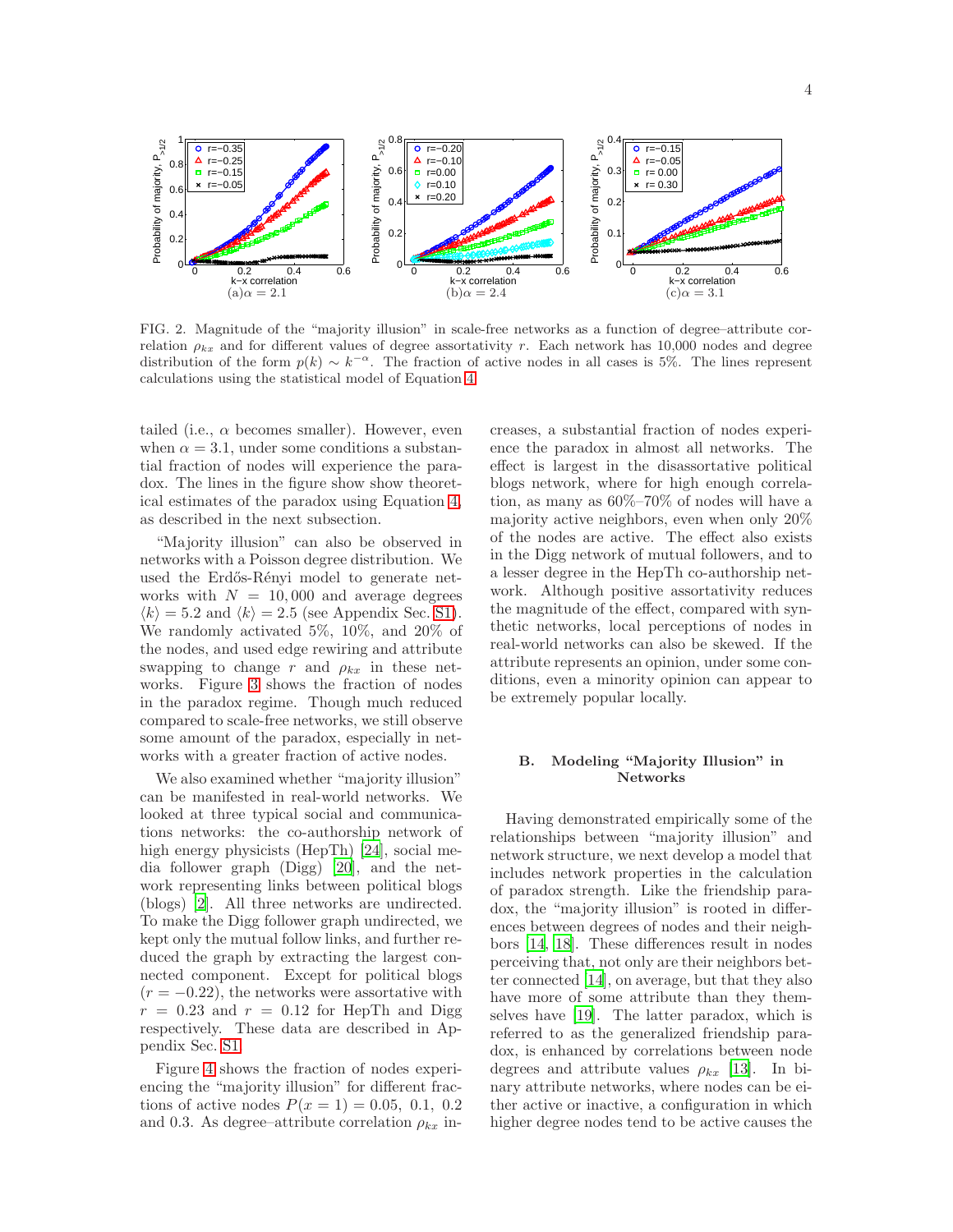

FIG. 2. Magnitude of the "majority illusion" in scale-free networks as a function of degree–attribute correlation  $\rho_{kx}$  and for different values of degree assortativity r. Each network has 10,000 nodes and degree distribution of the form  $p(k) \sim k^{-\alpha}$ . The fraction of active nodes in all cases is 5%. The lines represent calculations using the statistical model of Equation [4.](#page-5-0)

tailed (i.e.,  $\alpha$  becomes smaller). However, even when  $\alpha = 3.1$ , under some conditions a substantial fraction of nodes will experience the paradox. The lines in the figure show show theoretical estimates of the paradox using Equation [4,](#page-5-0) as described in the next subsection.

"Majority illusion" can also be observed in networks with a Poisson degree distribution. We used the Erdős-Rényi model to generate networks with  $N = 10,000$  and average degrees  $\langle k \rangle = 5.2$  and  $\langle k \rangle = 2.5$  (see Appendix Sec. [S1\)](#page-7-12). We randomly activated 5%, 10%, and 20% of the nodes, and used edge rewiring and attribute swapping to change r and  $\rho_{kx}$  in these networks. Figure [3](#page-4-0) shows the fraction of nodes in the paradox regime. Though much reduced compared to scale-free networks, we still observe some amount of the paradox, especially in networks with a greater fraction of active nodes.

We also examined whether "majority illusion" can be manifested in real-world networks. We looked at three typical social and communications networks: the co-authorship network of high energy physicists (HepTh) [\[24](#page-7-13)], social media follower graph (Digg) [\[20](#page-7-14)], and the network representing links between political blogs (blogs) [\[2\]](#page-6-13). All three networks are undirected. To make the Digg follower graph undirected, we kept only the mutual follow links, and further reduced the graph by extracting the largest connected component. Except for political blogs  $(r = -0.22)$ , the networks were assortative with  $r = 0.23$  and  $r = 0.12$  for HepTh and Digg respectively. These data are described in Appendix Sec. [S1.](#page-7-12)

Figure [4](#page-4-1) shows the fraction of nodes experiencing the "majority illusion" for different fractions of active nodes  $P(x = 1) = 0.05, 0.1, 0.2$ and 0.3. As degree–attribute correlation  $\rho_{kx}$  increases, a substantial fraction of nodes experience the paradox in almost all networks. The effect is largest in the disassortative political blogs network, where for high enough correlation, as many as 60%–70% of nodes will have a majority active neighbors, even when only 20% of the nodes are active. The effect also exists in the Digg network of mutual followers, and to a lesser degree in the HepTh co-authorship network. Although positive assortativity reduces the magnitude of the effect, compared with synthetic networks, local perceptions of nodes in real-world networks can also be skewed. If the attribute represents an opinion, under some conditions, even a minority opinion can appear to be extremely popular locally.

# B. Modeling "Majority Illusion" in Networks

Having demonstrated empirically some of the relationships between "majority illusion" and network structure, we next develop a model that includes network properties in the calculation of paradox strength. Like the friendship paradox, the "majority illusion" is rooted in differences between degrees of nodes and their neighbors [\[14](#page-6-5), [18\]](#page-6-14). These differences result in nodes perceiving that, not only are their neighbors better connected [\[14\]](#page-6-5), on average, but that they also have more of some attribute than they themselves have [\[19\]](#page-7-9). The latter paradox, which is referred to as the generalized friendship paradox, is enhanced by correlations between node degrees and attribute values  $\rho_{kx}$  [\[13\]](#page-6-9). In binary attribute networks, where nodes can be either active or inactive, a configuration in which higher degree nodes tend to be active causes the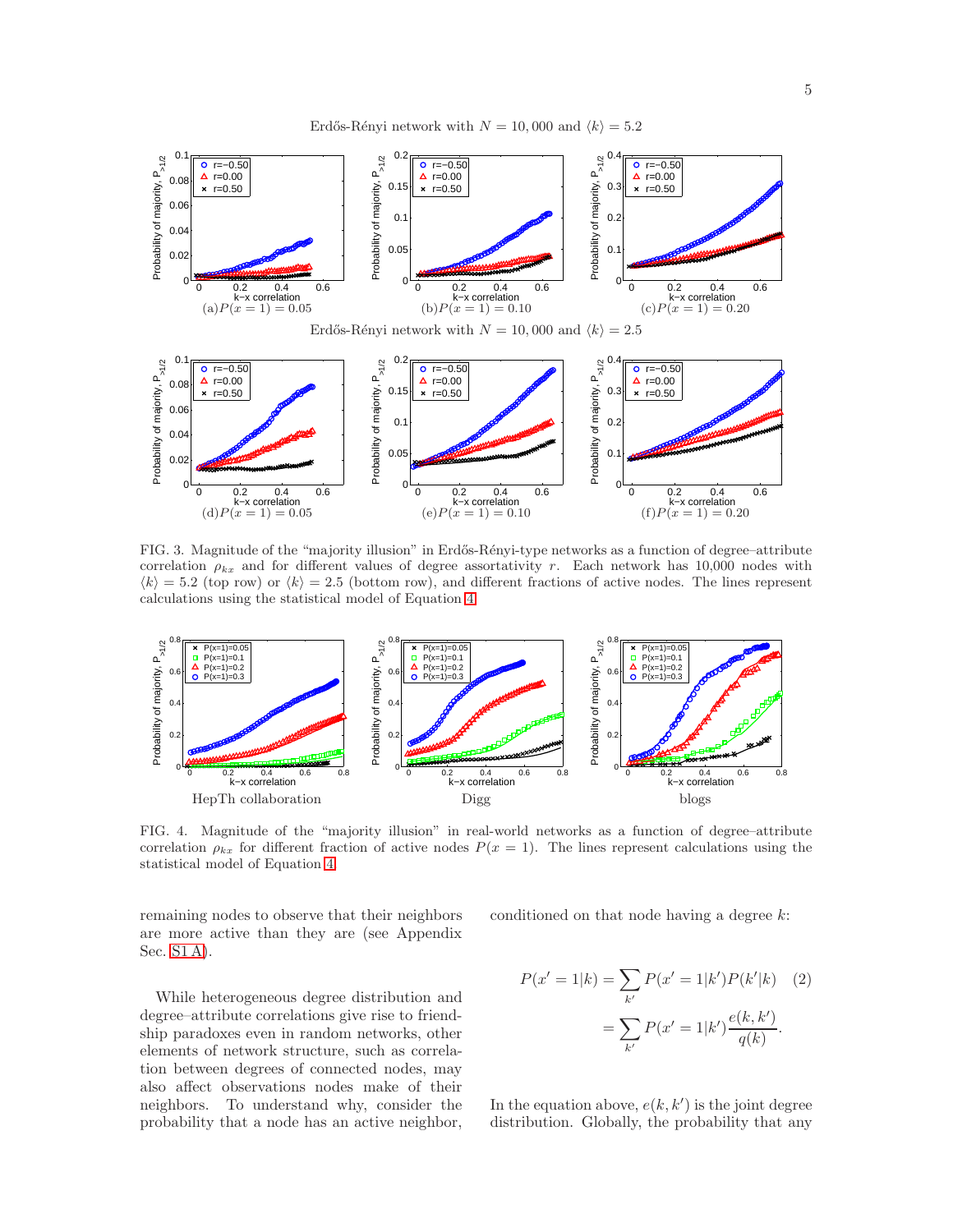Erdős-Rényi network with  $N = 10,000$  and  $\langle k \rangle = 5.2$ 



<span id="page-4-0"></span>FIG. 3. Magnitude of the "majority illusion" in Erdős-Rényi-type networks as a function of degree–attribute correlation  $\rho_{kx}$  and for different values of degree assortativity r. Each network has 10,000 nodes with  $\langle k \rangle = 5.2$  (top row) or  $\langle k \rangle = 2.5$  (bottom row), and different fractions of active nodes. The lines represent calculations using the statistical model of Equation [4.](#page-5-0)



<span id="page-4-1"></span>FIG. 4. Magnitude of the "majority illusion" in real-world networks as a function of degree–attribute correlation  $\rho_{kx}$  for different fraction of active nodes  $P(x = 1)$ . The lines represent calculations using the statistical model of Equation [4.](#page-5-0)

remaining nodes to observe that their neighbors are more active than they are (see Appendix Sec. [S1 A\)](#page-7-15).

While heterogeneous degree distribution and degree–attribute correlations give rise to friendship paradoxes even in random networks, other elements of network structure, such as correlation between degrees of connected nodes, may also affect observations nodes make of their neighbors. To understand why, consider the probability that a node has an active neighbor, conditioned on that node having a degree  $k$ :

<span id="page-4-2"></span>
$$
P(x'=1|k) = \sum_{k'} P(x'=1|k')P(k'|k) \quad (2)
$$

$$
= \sum_{k'} P(x'=1|k') \frac{e(k,k')}{q(k)}.
$$

In the equation above,  $e(k, k')$  is the joint degree distribution. Globally, the probability that any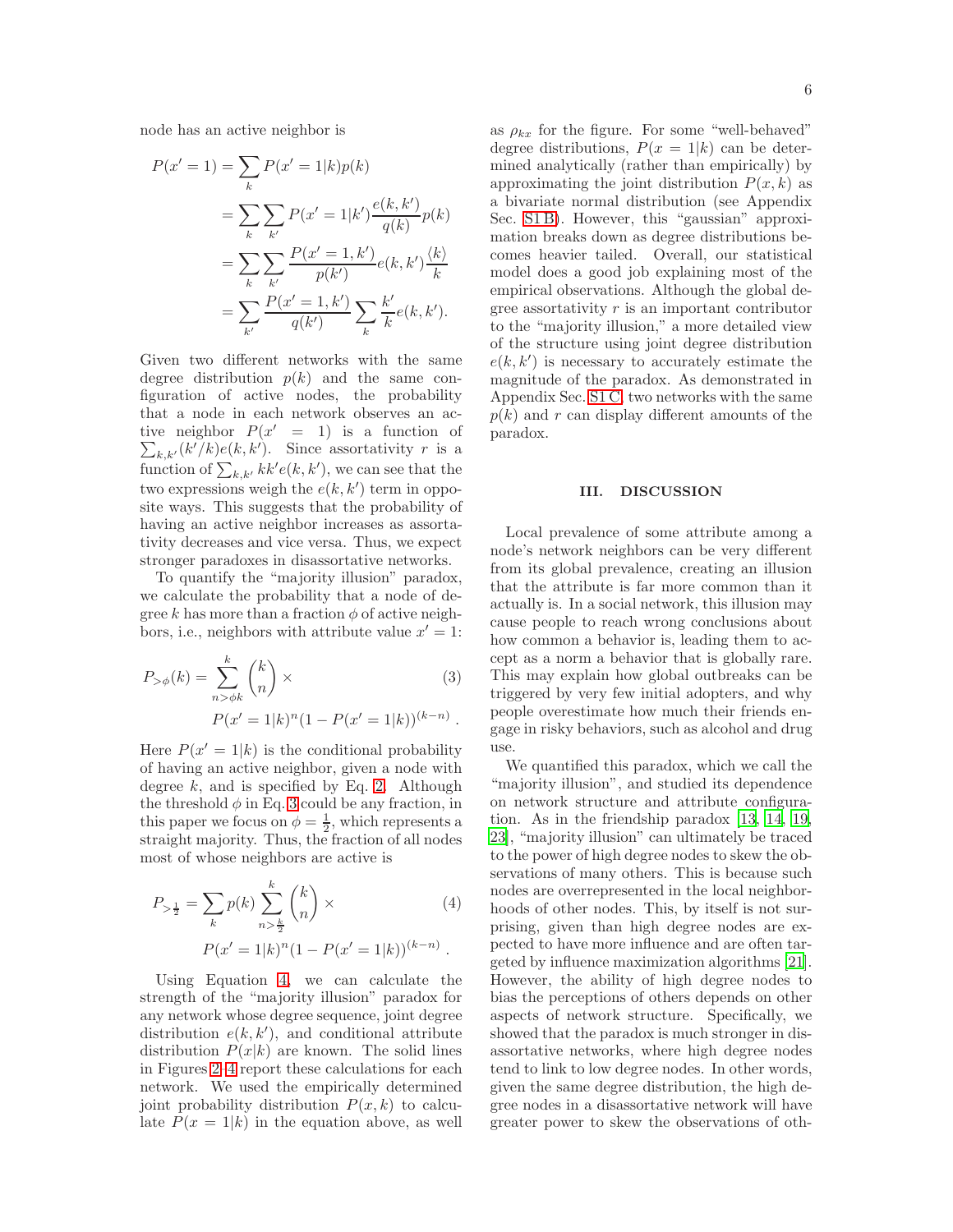node has an active neighbor is

$$
P(x'=1) = \sum_{k} P(x'=1|k)p(k)
$$
  
= 
$$
\sum_{k} \sum_{k'} P(x'=1|k') \frac{e(k, k')}{q(k)} p(k)
$$
  
= 
$$
\sum_{k} \sum_{k'} \frac{P(x'=1, k')}{p(k')} e(k, k') \frac{\langle k \rangle}{k}
$$
  
= 
$$
\sum_{k'} \frac{P(x'=1, k')}{q(k')} \sum_{k} \frac{k'}{k} e(k, k').
$$

Given two different networks with the same degree distribution  $p(k)$  and the same configuration of active nodes, the probability that a node in each network observes an active neighbor  $P(x' = 1)$  is a function of  $\sum_{k,k'} (k'/k) e(k, k')$ . Since assortativity r is a function of  $\sum_{k,k'} k k'e(k, k')$ , we can see that the two expressions weigh the  $e(k, k')$  term in opposite ways. This suggests that the probability of having an active neighbor increases as assortativity decreases and vice versa. Thus, we expect stronger paradoxes in disassortative networks.

To quantify the "majority illusion" paradox, we calculate the probability that a node of degree k has more than a fraction  $\phi$  of active neighbors, i.e., neighbors with attribute value  $x' = 1$ :

<span id="page-5-1"></span>
$$
P_{>\phi}(k) = \sum_{n>\phi k}^{k} {k \choose n} \times
$$
  
 
$$
P(x'=1|k)^{n} (1 - P(x'=1|k))^{(k-n)}.
$$
 (3)

Here  $P(x' = 1|k)$  is the conditional probability of having an active neighbor, given a node with degree  $k$ , and is specified by Eq. [2.](#page-4-2) Although the threshold  $\phi$  in Eq. [3](#page-5-1) could be any fraction, in this paper we focus on  $\phi = \frac{1}{2}$ , which represents a straight majority. Thus, the fraction of all nodes most of whose neighbors are active is

<span id="page-5-0"></span>
$$
P_{>\frac{1}{2}} = \sum_{k} p(k) \sum_{n>\frac{k}{2}}^{k} {k \choose n} \times
$$
  
\n
$$
P(x'=1|k)^{n} (1 - P(x'=1|k))^{(k-n)}.
$$
\n(4)

Using Equation [4,](#page-5-0) we can calculate the strength of the "majority illusion" paradox for any network whose degree sequence, joint degree distribution  $e(k, k')$ , and conditional attribute distribution  $P(x|k)$  are known. The solid lines in Figures [2](#page-9-1)[–4](#page-4-1) report these calculations for each network. We used the empirically determined joint probability distribution  $P(x, k)$  to calculate  $P(x = 1|k)$  in the equation above, as well as  $\rho_{kx}$  for the figure. For some "well-behaved" degree distributions,  $P(x = 1|k)$  can be determined analytically (rather than empirically) by approximating the joint distribution  $P(x, k)$  as a bivariate normal distribution (see Appendix Sec. [S1 B\)](#page-8-0). However, this "gaussian" approximation breaks down as degree distributions becomes heavier tailed. Overall, our statistical model does a good job explaining most of the empirical observations. Although the global degree assortativity  $r$  is an important contributor to the "majority illusion," a more detailed view of the structure using joint degree distribution  $e(k, k')$  is necessary to accurately estimate the magnitude of the paradox. As demonstrated in Appendix Sec. [S1 C,](#page-8-1) two networks with the same  $p(k)$  and r can display different amounts of the paradox.

### III. DISCUSSION

Local prevalence of some attribute among a node's network neighbors can be very different from its global prevalence, creating an illusion that the attribute is far more common than it actually is. In a social network, this illusion may cause people to reach wrong conclusions about how common a behavior is, leading them to accept as a norm a behavior that is globally rare. This may explain how global outbreaks can be triggered by very few initial adopters, and why people overestimate how much their friends engage in risky behaviors, such as alcohol and drug use.

We quantified this paradox, which we call the "majority illusion", and studied its dependence on network structure and attribute configuration. As in the friendship paradox [\[13,](#page-6-9) [14,](#page-6-5) [19](#page-7-9), [23\]](#page-7-10), "majority illusion" can ultimately be traced to the power of high degree nodes to skew the observations of many others. This is because such nodes are overrepresented in the local neighborhoods of other nodes. This, by itself is not surprising, given than high degree nodes are expected to have more influence and are often targeted by influence maximization algorithms [\[21\]](#page-7-6). However, the ability of high degree nodes to bias the perceptions of others depends on other aspects of network structure. Specifically, we showed that the paradox is much stronger in disassortative networks, where high degree nodes tend to link to low degree nodes. In other words, given the same degree distribution, the high degree nodes in a disassortative network will have greater power to skew the observations of oth-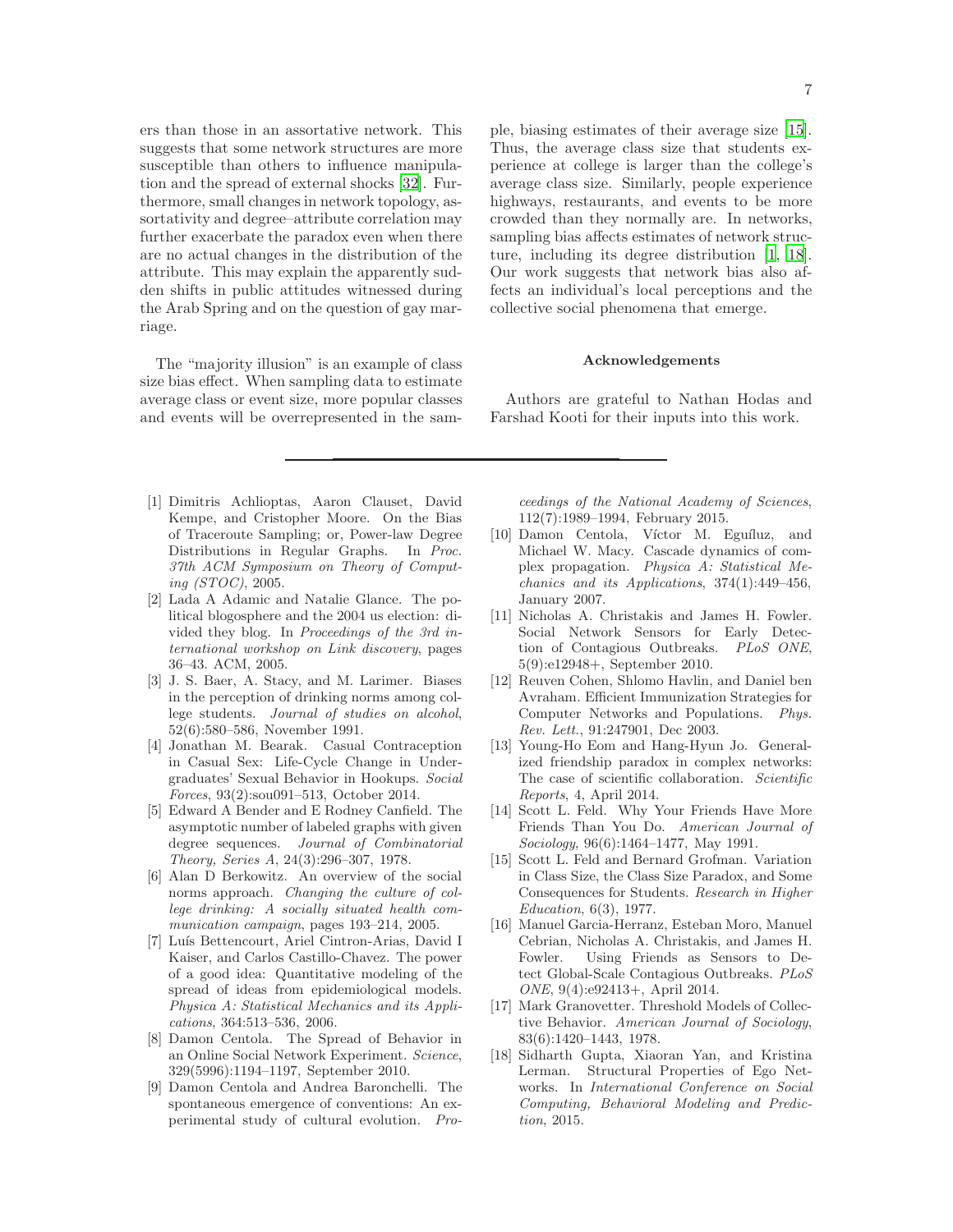ers than those in an assortative network. This suggests that some network structures are more susceptible than others to influence manipulation and the spread of external shocks [\[32\]](#page-7-5). Furthermore, small changes in network topology, assortativity and degree–attribute correlation may further exacerbate the paradox even when there are no actual changes in the distribution of the attribute. This may explain the apparently sudden shifts in public attitudes witnessed during the Arab Spring and on the question of gay marriage.

The "majority illusion" is an example of class size bias effect. When sampling data to estimate average class or event size, more popular classes and events will be overrepresented in the sam-

- 
- <span id="page-6-16"></span>[1] Dimitris Achlioptas, Aaron Clauset, David Kempe, and Cristopher Moore. On the Bias of Traceroute Sampling; or, Power-law Degree Distributions in Regular Graphs. In Proc. 37th ACM Symposium on Theory of Computing (STOC), 2005.
- <span id="page-6-13"></span>[2] Lada A Adamic and Natalie Glance. The political blogosphere and the 2004 us election: divided they blog. In Proceedings of the 3rd international workshop on Link discovery, pages 36–43. ACM, 2005.
- <span id="page-6-10"></span>[3] J. S. Baer, A. Stacy, and M. Larimer. Biases in the perception of drinking norms among college students. Journal of studies on alcohol, 52(6):580–586, November 1991.
- <span id="page-6-4"></span>[4] Jonathan M. Bearak. Casual Contraception in Casual Sex: Life-Cycle Change in Undergraduates' Sexual Behavior in Hookups. Social Forces, 93(2):sou091–513, October 2014.
- <span id="page-6-17"></span>[5] Edward A Bender and E Rodney Canfield. The asymptotic number of labeled graphs with given degree sequences. Journal of Combinatorial Theory, Series A, 24(3):296–307, 1978.
- <span id="page-6-11"></span>[6] Alan D Berkowitz. An overview of the social norms approach. Changing the culture of college drinking: A socially situated health communication campaign, pages 193–214, 2005.
- <span id="page-6-3"></span>[7] Luís Bettencourt, Ariel Cintron-Arias, David I Kaiser, and Carlos Castillo-Chavez. The power of a good idea: Quantitative modeling of the spread of ideas from epidemiological models. Physica A: Statistical Mechanics and its Applications, 364:513–536, 2006.
- <span id="page-6-0"></span>[8] Damon Centola. The Spread of Behavior in an Online Social Network Experiment. Science, 329(5996):1194–1197, September 2010.
- <span id="page-6-1"></span>[9] Damon Centola and Andrea Baronchelli. The spontaneous emergence of conventions: An experimental study of cultural evolution. Pro-

ple, biasing estimates of their average size [\[15\]](#page-6-15). Thus, the average class size that students experience at college is larger than the college's average class size. Similarly, people experience highways, restaurants, and events to be more crowded than they normally are. In networks, sampling bias affects estimates of network structure, including its degree distribution [\[1,](#page-6-16) [18\]](#page-6-14). Our work suggests that network bias also affects an individual's local perceptions and the collective social phenomena that emerge.

# Acknowledgements

Authors are grateful to Nathan Hodas and Farshad Kooti for their inputs into this work.

ceedings of the National Academy of Sciences, 112(7):1989–1994, February 2015.

- <span id="page-6-12"></span>[10] Damon Centola, Víctor M. Eguíluz, and Michael W. Macy. Cascade dynamics of complex propagation. Physica A: Statistical Mechanics and its Applications, 374(1):449–456, January 2007.
- <span id="page-6-7"></span>[11] Nicholas A. Christakis and James H. Fowler. Social Network Sensors for Early Detection of Contagious Outbreaks. PLoS ONE, 5(9):e12948+, September 2010.
- <span id="page-6-6"></span>[12] Reuven Cohen, Shlomo Havlin, and Daniel ben Avraham. Efficient Immunization Strategies for Computer Networks and Populations. Phys. Rev. Lett., 91:247901, Dec 2003.
- <span id="page-6-9"></span>[13] Young-Ho Eom and Hang-Hyun Jo. Generalized friendship paradox in complex networks: The case of scientific collaboration. Scientific Reports, 4, April 2014.
- <span id="page-6-5"></span>[14] Scott L. Feld. Why Your Friends Have More Friends Than You Do. American Journal of Sociology, 96(6):1464–1477, May 1991.
- <span id="page-6-15"></span>[15] Scott L. Feld and Bernard Grofman. Variation in Class Size, the Class Size Paradox, and Some Consequences for Students. Research in Higher Education, 6(3), 1977.
- <span id="page-6-8"></span>[16] Manuel Garcia-Herranz, Esteban Moro, Manuel Cebrian, Nicholas A. Christakis, and James H. Fowler. Using Friends as Sensors to Detect Global-Scale Contagious Outbreaks. PLoS ONE, 9(4):e92413+, April 2014.
- <span id="page-6-2"></span>[17] Mark Granovetter. Threshold Models of Collective Behavior. American Journal of Sociology, 83(6):1420–1443, 1978.
- <span id="page-6-14"></span>[18] Sidharth Gupta, Xiaoran Yan, and Kristina Lerman. Structural Properties of Ego Networks. In International Conference on Social Computing, Behavioral Modeling and Prediction, 2015.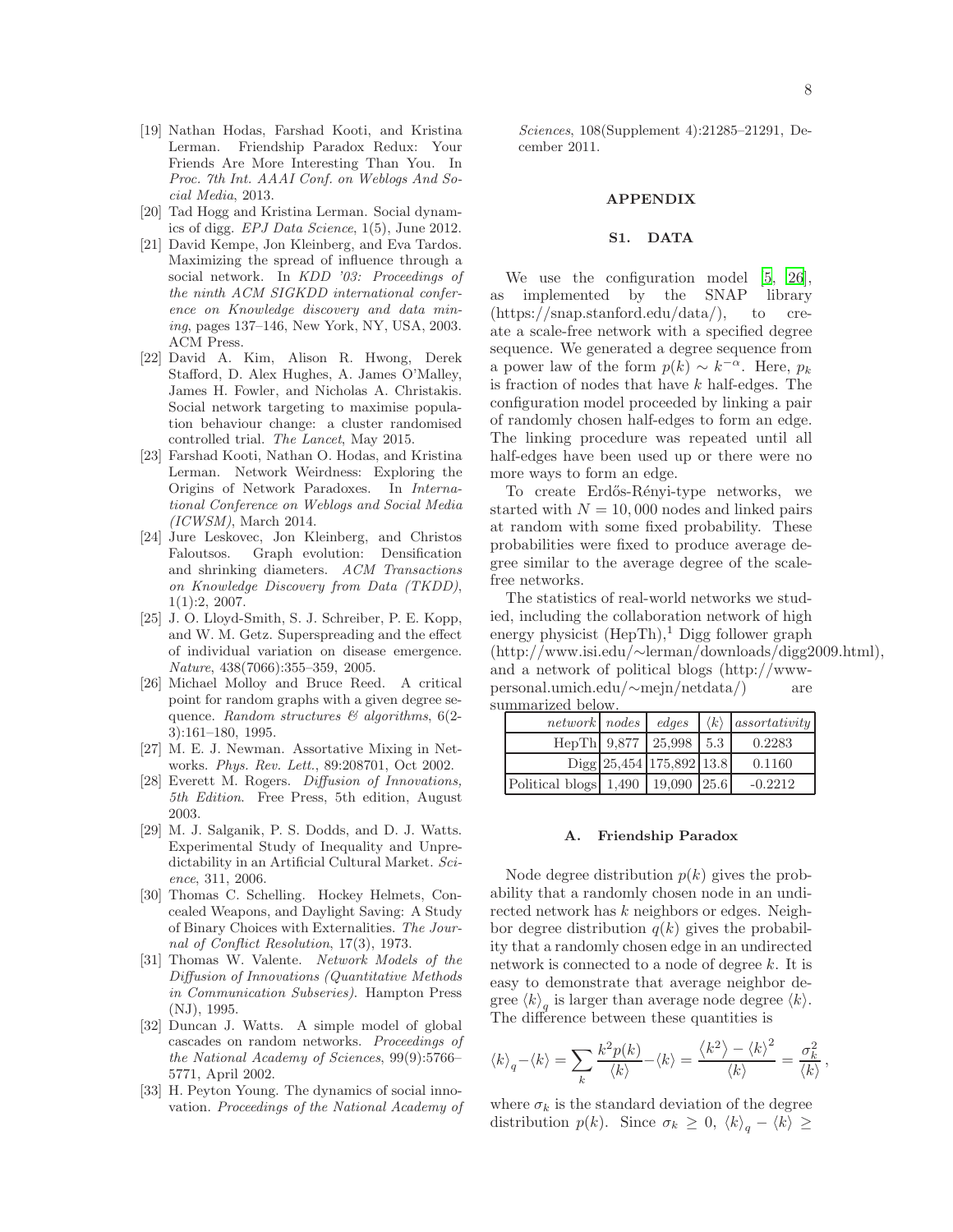- <span id="page-7-9"></span>[19] Nathan Hodas, Farshad Kooti, and Kristina Lerman. Friendship Paradox Redux: Your Friends Are More Interesting Than You. In Proc. 7th Int. AAAI Conf. on Weblogs And Social Media, 2013.
- <span id="page-7-14"></span>[20] Tad Hogg and Kristina Lerman. Social dynamics of digg. EPJ Data Science, 1(5), June 2012.
- <span id="page-7-6"></span>[21] David Kempe, Jon Kleinberg, and Eva Tardos. Maximizing the spread of influence through a social network. In KDD '03: Proceedings of the ninth ACM SIGKDD international conference on Knowledge discovery and data mining, pages 137–146, New York, NY, USA, 2003. ACM Press.
- <span id="page-7-8"></span>[22] David A. Kim, Alison R. Hwong, Derek Stafford, D. Alex Hughes, A. James O'Malley, James H. Fowler, and Nicholas A. Christakis. Social network targeting to maximise population behaviour change: a cluster randomised controlled trial. The Lancet, May 2015.
- <span id="page-7-10"></span>[23] Farshad Kooti, Nathan O. Hodas, and Kristina Lerman. Network Weirdness: Exploring the Origins of Network Paradoxes. In International Conference on Weblogs and Social Media (ICWSM), March 2014.
- <span id="page-7-13"></span>[24] Jure Leskovec, Jon Kleinberg, and Christos Faloutsos. Graph evolution: Densification and shrinking diameters. ACM Transactions on Knowledge Discovery from Data (TKDD), 1(1):2, 2007.
- <span id="page-7-7"></span>[25] J. O. Lloyd-Smith, S. J. Schreiber, P. E. Kopp, and W. M. Getz. Superspreading and the effect of individual variation on disease emergence. Nature, 438(7066):355–359, 2005.
- <span id="page-7-16"></span>[26] Michael Molloy and Bruce Reed. A critical point for random graphs with a given degree sequence. Random structures  $\mathcal C$  algorithms, 6(2-3):161–180, 1995.
- <span id="page-7-11"></span>[27] M. E. J. Newman. Assortative Mixing in Networks. Phys. Rev. Lett., 89:208701, Oct 2002.
- <span id="page-7-3"></span>[28] Everett M. Rogers. Diffusion of Innovations, 5th Edition. Free Press, 5th edition, August 2003.
- <span id="page-7-0"></span>[29] M. J. Salganik, P. S. Dodds, and D. J. Watts. Experimental Study of Inequality and Unpredictability in an Artificial Cultural Market. Science, 311, 2006.
- <span id="page-7-1"></span>[30] Thomas C. Schelling. Hockey Helmets, Concealed Weapons, and Daylight Saving: A Study of Binary Choices with Externalities. The Journal of Conflict Resolution, 17(3), 1973.
- <span id="page-7-4"></span>[31] Thomas W. Valente. Network Models of the Diffusion of Innovations (Quantitative Methods in Communication Subseries). Hampton Press (NJ), 1995.
- <span id="page-7-5"></span>[32] Duncan J. Watts. A simple model of global cascades on random networks. Proceedings of the National Academy of Sciences, 99(9):5766– 5771, April 2002.
- <span id="page-7-2"></span>[33] H. Peyton Young. The dynamics of social innovation. Proceedings of the National Academy of

Sciences, 108(Supplement 4):21285–21291, December 2011.

### APPENDIX

# <span id="page-7-12"></span>S1. DATA

We use the configuration model [\[5](#page-6-17), [26\]](#page-7-16), as implemented by the SNAP library (https://snap.stanford.edu/data/), to create a scale-free network with a specified degree sequence. We generated a degree sequence from a power law of the form  $p(k) \sim k^{-\alpha}$ . Here,  $p_k$ is fraction of nodes that have  $k$  half-edges. The configuration model proceeded by linking a pair of randomly chosen half-edges to form an edge. The linking procedure was repeated until all half-edges have been used up or there were no more ways to form an edge.

To create Erdős-Rényi-type networks, we started with  $N = 10,000$  nodes and linked pairs at random with some fixed probability. These probabilities were fixed to produce average degree similar to the average degree of the scalefree networks.

The statistics of real-world networks we studied, including the collaboration network of high energy physicist  $(HepTh),<sup>1</sup>$  Digg follower graph (http://www.isi.edu/∼lerman/downloads/digg2009.html), and a network of political blogs (http://wwwpersonal.umich.edu/∼mejn/netdata/) are summarized below.

| network nodes edges                   |                          | $\langle k \rangle$ | assortativity |
|---------------------------------------|--------------------------|---------------------|---------------|
|                                       | HepTh 9,877 25,998       | 5.3                 | 0.2283        |
|                                       | Digg 25,454 175,892 13.8 |                     | 0.1160        |
| Political blogs 1,490   19,090   25.6 |                          |                     | $-0.2212$     |

## <span id="page-7-15"></span>A. Friendship Paradox

Node degree distribution  $p(k)$  gives the probability that a randomly chosen node in an undirected network has k neighbors or edges. Neighbor degree distribution  $q(k)$  gives the probability that a randomly chosen edge in an undirected network is connected to a node of degree k. It is easy to demonstrate that average neighbor degree  $\langle k \rangle_q$  is larger than average node degree  $\langle k \rangle$ . The difference between these quantities is

$$
\langle k \rangle_q - \langle k \rangle = \sum_k \frac{k^2 p(k)}{\langle k \rangle} - \langle k \rangle = \frac{\langle k^2 \rangle - \langle k \rangle^2}{\langle k \rangle} = \frac{\sigma_k^2}{\langle k \rangle},
$$

where  $\sigma_k$  is the standard deviation of the degree distribution  $p(k)$ . Since  $\sigma_k \geq 0$ ,  $\langle k \rangle_q - \langle k \rangle \geq$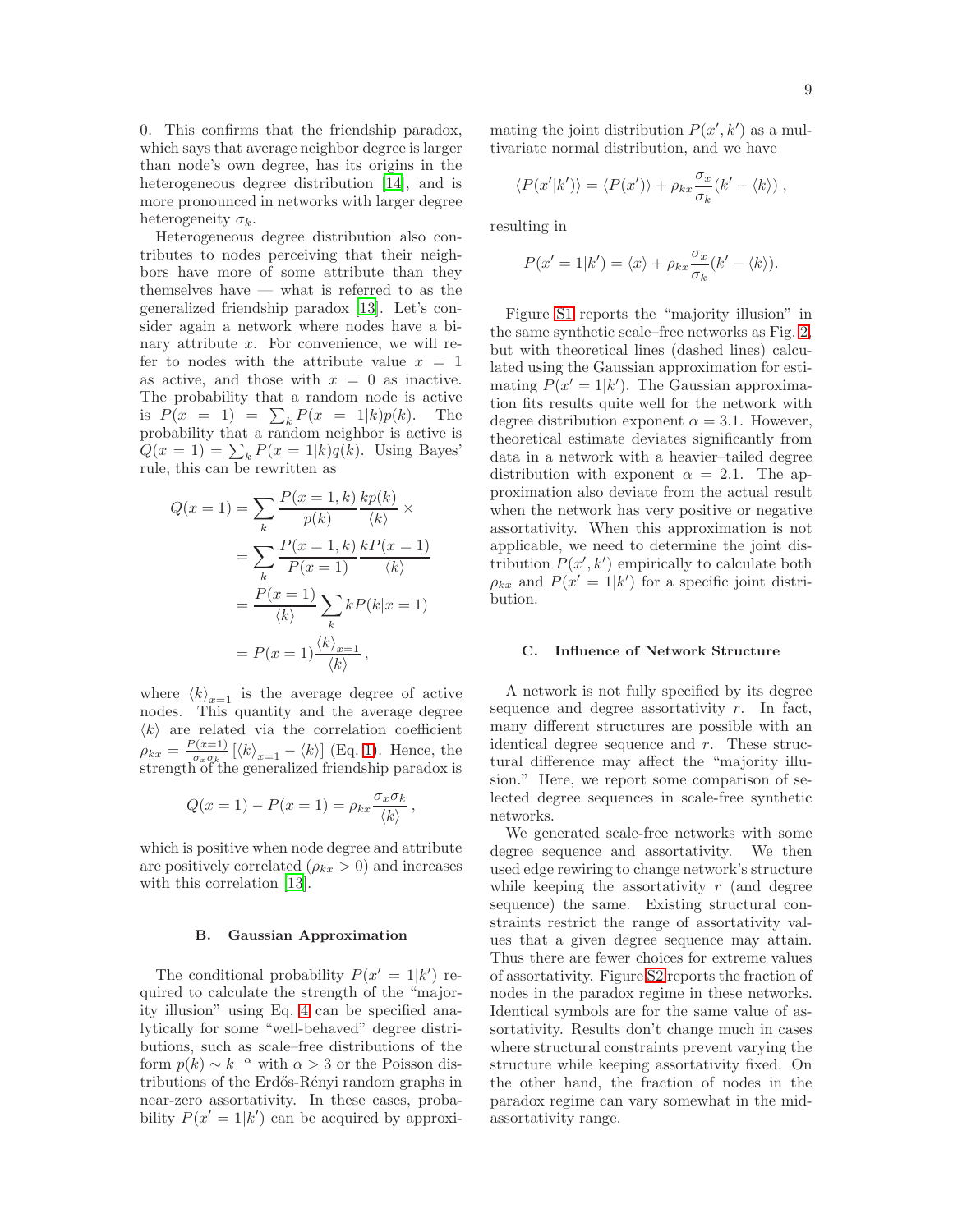0. This confirms that the friendship paradox, which says that average neighbor degree is larger than node's own degree, has its origins in the heterogeneous degree distribution [\[14\]](#page-6-5), and is more pronounced in networks with larger degree heterogeneity  $\sigma_k$ .

Heterogeneous degree distribution also contributes to nodes perceiving that their neighbors have more of some attribute than they themselves have — what is referred to as the generalized friendship paradox [\[13](#page-6-9)]. Let's consider again a network where nodes have a binary attribute  $x$ . For convenience, we will refer to nodes with the attribute value  $x = 1$ as active, and those with  $x = 0$  as inactive. The probability that a random node is active is  $P(x = 1) = \sum_{k} P(x = 1|k)p(k)$ . The probability that a random neighbor is active is  $Q(x=1) = \sum_k P(x=1|k)q(k)$ . Using Bayes' rule, this can be rewritten as

$$
Q(x = 1) = \sum_{k} \frac{P(x = 1, k)}{p(k)} \frac{kp(k)}{\langle k \rangle} \times
$$

$$
= \sum_{k} \frac{P(x = 1, k)}{P(x = 1)} \frac{kp(x = 1)}{\langle k \rangle}
$$

$$
= \frac{P(x = 1)}{\langle k \rangle} \sum_{k} kP(k|x = 1)
$$

$$
= P(x = 1) \frac{\langle k \rangle_{x = 1}}{\langle k \rangle},
$$

where  $\langle k \rangle_{x=1}$  is the average degree of active nodes. This quantity and the average degree  $\langle k \rangle$  are related via the correlation coefficient  $\rho_{kx} = \frac{P(x=1)}{\sigma_x \sigma_k}$  $\frac{\sigma_x(\mathbf{x}=1)}{\sigma_x\sigma_{k}}\left[\langle k\rangle_{x=1}-\langle k\rangle\right]$  (Eq. [1\)](#page-2-0). Hence, the strength of the generalized friendship paradox is

$$
Q(x=1) - P(x=1) = \rho_{kx} \frac{\sigma_x \sigma_k}{\langle k \rangle},
$$

which is positive when node degree and attribute are positively correlated  $(\rho_{kx} > 0)$  and increases with this correlation [\[13\]](#page-6-9).

# <span id="page-8-0"></span>B. Gaussian Approximation

The conditional probability  $P(x' = 1|k')$  required to calculate the strength of the "majority illusion" using Eq. [4](#page-5-0) can be specified analytically for some "well-behaved" degree distributions, such as scale–free distributions of the form  $p(k) \sim k^{-\alpha}$  with  $\alpha > 3$  or the Poisson distributions of the Erdős-Rényi random graphs in near-zero assortativity. In these cases, probability  $P(x'=1|k')$  can be acquired by approxi-

mating the joint distribution  $P(x', k')$  as a multivariate normal distribution, and we have

$$
\langle P(x'|k')\rangle = \langle P(x')\rangle + \rho_{kx} \frac{\sigma_x}{\sigma_k}(k' - \langle k\rangle) ,
$$

resulting in

$$
P(x'=1|k') = \langle x \rangle + \rho_{kx} \frac{\sigma_x}{\sigma_k} (k' - \langle k \rangle).
$$

Figure [S1](#page-9-0) reports the "majority illusion" in the same synthetic scale–free networks as Fig. [2,](#page-9-1) but with theoretical lines (dashed lines) calculated using the Gaussian approximation for estimating  $P(x' = 1|k')$ . The Gaussian approximation fits results quite well for the network with degree distribution exponent  $\alpha = 3.1$ . However, theoretical estimate deviates significantly from data in a network with a heavier–tailed degree distribution with exponent  $\alpha = 2.1$ . The approximation also deviate from the actual result when the network has very positive or negative assortativity. When this approximation is not applicable, we need to determine the joint distribution  $P(x', k')$  empirically to calculate both  $\rho_{kx}$  and  $P(x' = 1|k')$  for a specific joint distribution.

# <span id="page-8-1"></span>C. Influence of Network Structure

A network is not fully specified by its degree sequence and degree assortativity  $r$ . In fact, many different structures are possible with an identical degree sequence and r. These structural difference may affect the "majority illusion." Here, we report some comparison of selected degree sequences in scale-free synthetic networks.

We generated scale-free networks with some degree sequence and assortativity. We then used edge rewiring to change network's structure while keeping the assortativity  $r$  (and degree sequence) the same. Existing structural constraints restrict the range of assortativity values that a given degree sequence may attain. Thus there are fewer choices for extreme values of assortativity. Figure [S2](#page-9-1) reports the fraction of nodes in the paradox regime in these networks. Identical symbols are for the same value of assortativity. Results don't change much in cases where structural constraints prevent varying the structure while keeping assortativity fixed. On the other hand, the fraction of nodes in the paradox regime can vary somewhat in the midassortativity range.